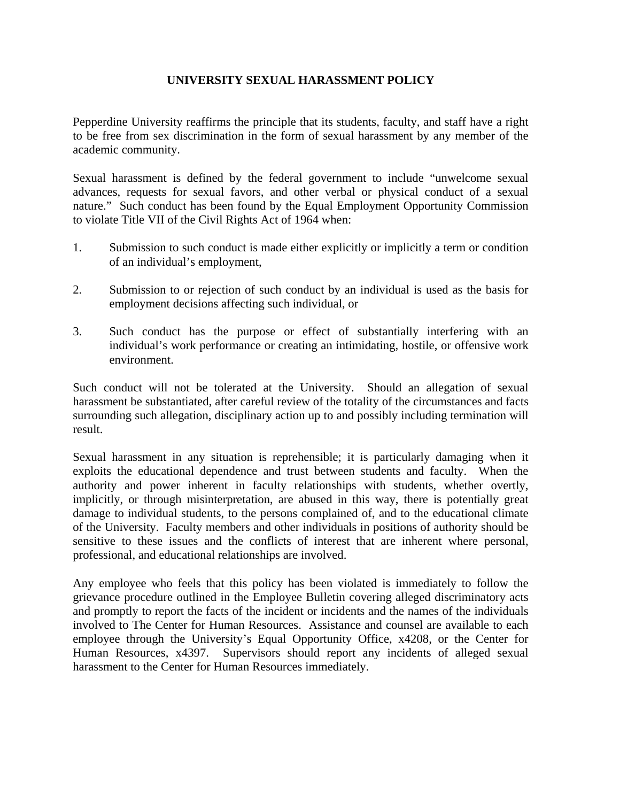## **UNIVERSITY SEXUAL HARASSMENT POLICY**

Pepperdine University reaffirms the principle that its students, faculty, and staff have a right to be free from sex discrimination in the form of sexual harassment by any member of the academic community.

Sexual harassment is defined by the federal government to include "unwelcome sexual advances, requests for sexual favors, and other verbal or physical conduct of a sexual nature." Such conduct has been found by the Equal Employment Opportunity Commission to violate Title VII of the Civil Rights Act of 1964 when:

- 1. Submission to such conduct is made either explicitly or implicitly a term or condition of an individual's employment,
- 2. Submission to or rejection of such conduct by an individual is used as the basis for employment decisions affecting such individual, or
- 3. Such conduct has the purpose or effect of substantially interfering with an individual's work performance or creating an intimidating, hostile, or offensive work environment.

Such conduct will not be tolerated at the University. Should an allegation of sexual harassment be substantiated, after careful review of the totality of the circumstances and facts surrounding such allegation, disciplinary action up to and possibly including termination will result.

Sexual harassment in any situation is reprehensible; it is particularly damaging when it exploits the educational dependence and trust between students and faculty. When the authority and power inherent in faculty relationships with students, whether overtly, implicitly, or through misinterpretation, are abused in this way, there is potentially great damage to individual students, to the persons complained of, and to the educational climate of the University. Faculty members and other individuals in positions of authority should be sensitive to these issues and the conflicts of interest that are inherent where personal, professional, and educational relationships are involved.

Any employee who feels that this policy has been violated is immediately to follow the grievance procedure outlined in the Employee Bulletin covering alleged discriminatory acts and promptly to report the facts of the incident or incidents and the names of the individuals involved to The Center for Human Resources. Assistance and counsel are available to each employee through the University's Equal Opportunity Office, x4208, or the Center for Human Resources, x4397. Supervisors should report any incidents of alleged sexual harassment to the Center for Human Resources immediately.